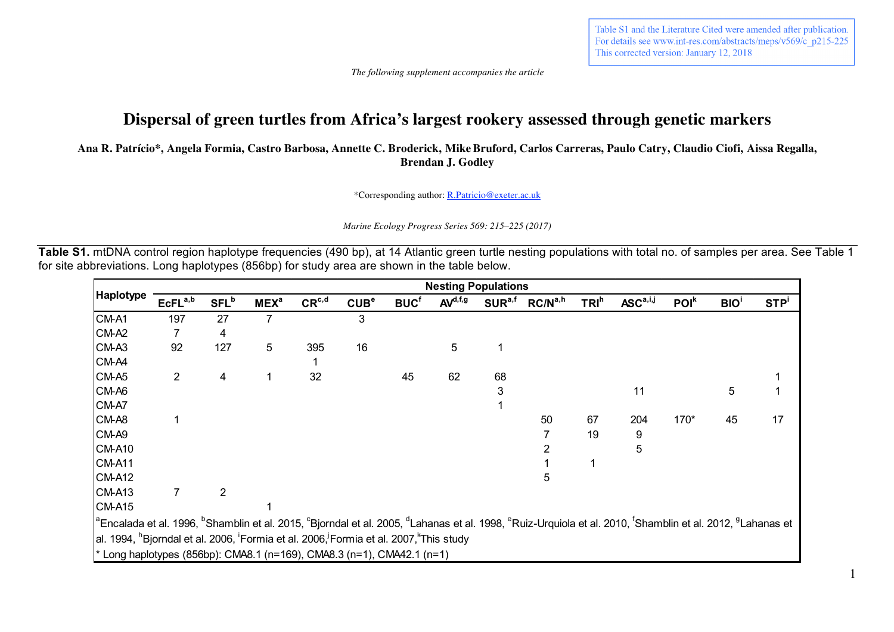Table S1 and the Literature Cited were amended after publication. For details see www.int-res.com/abstracts/meps/v569/c p215-225 This corrected version: January 12, 2018

 *The following supplement accompanies the article*

## **Dispersal of green turtles from Africa's largest rookery assessed through genetic markers**

**Ana R. Patrício\*, Angela Formia, Castro Barbosa, Annette C. Broderick, MikeBruford, Carlos Carreras, Paulo Catry, Claudio Ciofi, Aissa Regalla, Brendan J. Godley**

\*Corresponding author: R.Patricio@exeter.ac.uk

*Marine Ecology Progress Series 569: 215–225 (2017)*

**Table S1.** mtDNA control region haplotype frequencies (490 bp), at 14 Atlantic green turtle nesting populations with total no. of samples per area. See Table 1 for site abbreviations. Long haplotypes (856bp) for study area are shown in the table below.

|                                                                                                                                                                                                                                                |                     | <b>Nesting Populations</b> |                  |            |                  |                        |                     |                    |                     |                  |                                                     |                  |            |                  |  |  |
|------------------------------------------------------------------------------------------------------------------------------------------------------------------------------------------------------------------------------------------------|---------------------|----------------------------|------------------|------------|------------------|------------------------|---------------------|--------------------|---------------------|------------------|-----------------------------------------------------|------------------|------------|------------------|--|--|
| <b>Haplotype</b>                                                                                                                                                                                                                               | EcFL <sup>a,b</sup> | <b>SFL</b> <sup>b</sup>    | MEX <sup>a</sup> | $CR^{c,d}$ | CUB <sup>e</sup> | <b>BUC<sup>f</sup></b> | AV <sup>d,f,g</sup> | SUR <sup>a,f</sup> | RC/N <sup>a,h</sup> | TRI <sup>h</sup> | $\mathsf{ASC}^{\mathsf{a}, \mathsf{i}, \mathsf{j}}$ | POI <sup>k</sup> | <b>BIO</b> | STP <sup>i</sup> |  |  |
| CM-A1                                                                                                                                                                                                                                          | 197                 | 27                         | 7                |            | 3                |                        |                     |                    |                     |                  |                                                     |                  |            |                  |  |  |
| CM-A2                                                                                                                                                                                                                                          |                     | 4                          |                  |            |                  |                        |                     |                    |                     |                  |                                                     |                  |            |                  |  |  |
| CM-A3                                                                                                                                                                                                                                          | 92                  | 127                        | 5                | 395        | 16               |                        | 5                   |                    |                     |                  |                                                     |                  |            |                  |  |  |
| CM-A4                                                                                                                                                                                                                                          |                     |                            |                  |            |                  |                        |                     |                    |                     |                  |                                                     |                  |            |                  |  |  |
| CM-A5                                                                                                                                                                                                                                          | $\overline{2}$      | 4                          | 1                | 32         |                  | 45                     | 62                  | 68                 |                     |                  |                                                     |                  |            |                  |  |  |
| CM-A6                                                                                                                                                                                                                                          |                     |                            |                  |            |                  |                        |                     | 3                  |                     |                  | 11                                                  |                  | 5          |                  |  |  |
| CM-A7                                                                                                                                                                                                                                          |                     |                            |                  |            |                  |                        |                     |                    |                     |                  |                                                     |                  |            |                  |  |  |
| CM-A8                                                                                                                                                                                                                                          |                     |                            |                  |            |                  |                        |                     |                    | 50                  | 67               | 204                                                 | 170*             | 45         | 17               |  |  |
| CM-A9                                                                                                                                                                                                                                          |                     |                            |                  |            |                  |                        |                     |                    |                     | 19               | 9                                                   |                  |            |                  |  |  |
| <b>CM-A10</b>                                                                                                                                                                                                                                  |                     |                            |                  |            |                  |                        |                     |                    |                     |                  | 5                                                   |                  |            |                  |  |  |
| <b>CM-A11</b>                                                                                                                                                                                                                                  |                     |                            |                  |            |                  |                        |                     |                    |                     |                  |                                                     |                  |            |                  |  |  |
| <b>CM-A12</b>                                                                                                                                                                                                                                  |                     |                            |                  |            |                  |                        |                     |                    | 5                   |                  |                                                     |                  |            |                  |  |  |
| CM-A13                                                                                                                                                                                                                                         |                     | 2                          |                  |            |                  |                        |                     |                    |                     |                  |                                                     |                  |            |                  |  |  |
| CM-A15                                                                                                                                                                                                                                         |                     |                            |                  |            |                  |                        |                     |                    |                     |                  |                                                     |                  |            |                  |  |  |
| <sup>la</sup> Encalada et al. 1996, <sup>b</sup> Shamblin et al. 2015, <sup>c</sup> Bjorndal et al. 2005, <sup>d</sup> Lahanas et al. 1998, <sup>e</sup> Ruiz-Urquiola et al. 2010, <sup>t</sup> Shamblin et al. 2012, <sup>9</sup> Lahanas et |                     |                            |                  |            |                  |                        |                     |                    |                     |                  |                                                     |                  |            |                  |  |  |
| al. 1994, <sup>h</sup> Bjorndal et al. 2006, <sup>'</sup> Formia et al. 2006, <sup>'</sup> Formia et al. 2007, <sup>*</sup> This study                                                                                                         |                     |                            |                  |            |                  |                        |                     |                    |                     |                  |                                                     |                  |            |                  |  |  |
| $*$ Long haplotypes (856bp): CMA8.1 (n=169), CMA8.3 (n=1), CMA42.1 (n=1)                                                                                                                                                                       |                     |                            |                  |            |                  |                        |                     |                    |                     |                  |                                                     |                  |            |                  |  |  |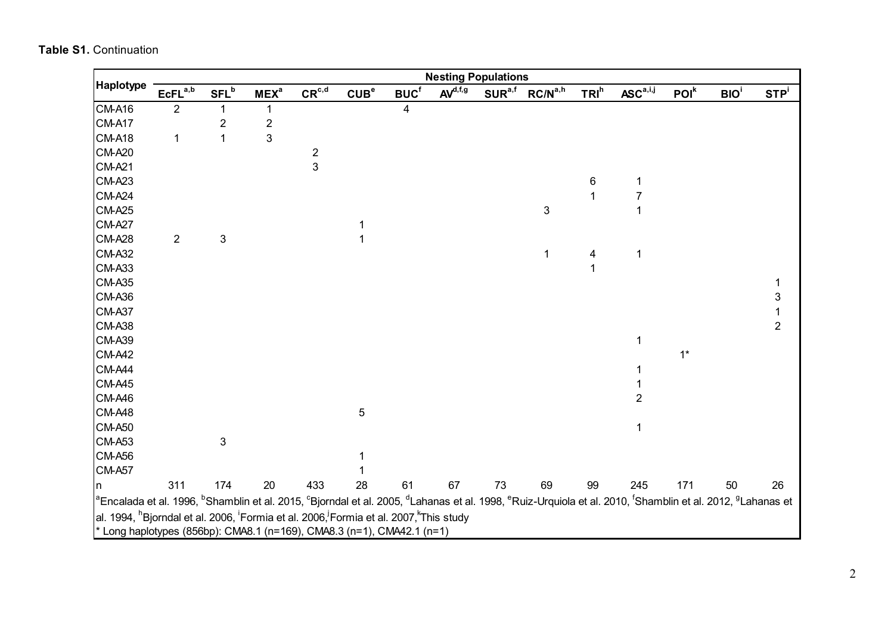|                                                                                                                                                                                                                                                                                                                                                                            | <b>Nesting Populations</b> |                         |             |               |                  |                         |              |                    |                     |         |                                                     |                  |                  |                  |
|----------------------------------------------------------------------------------------------------------------------------------------------------------------------------------------------------------------------------------------------------------------------------------------------------------------------------------------------------------------------------|----------------------------|-------------------------|-------------|---------------|------------------|-------------------------|--------------|--------------------|---------------------|---------|-----------------------------------------------------|------------------|------------------|------------------|
| Haplotype                                                                                                                                                                                                                                                                                                                                                                  | $EcFL^{a,b}$               | $SFL^b$                 | $MEX^a$     | $CR^{c,d}$    | CUB <sup>e</sup> | BUC <sup>f</sup>        | $AV^{d,f,g}$ | SUR <sup>a,f</sup> | RC/N <sup>a,h</sup> | $TRI^h$ | $\mathsf{ASC}^{\mathsf{a}, \mathsf{i}, \mathsf{j}}$ | POI <sup>k</sup> | BIO <sup>i</sup> | STP <sup>i</sup> |
| <b>CM-A16</b>                                                                                                                                                                                                                                                                                                                                                              | $\overline{2}$             | 1                       | 1           |               |                  | $\overline{\mathbf{4}}$ |              |                    |                     |         |                                                     |                  |                  |                  |
| CM-A17                                                                                                                                                                                                                                                                                                                                                                     |                            | $\overline{\mathbf{c}}$ | $\mathbf 2$ |               |                  |                         |              |                    |                     |         |                                                     |                  |                  |                  |
| <b>CM-A18</b>                                                                                                                                                                                                                                                                                                                                                              | $\mathbf 1$                | 1                       | 3           |               |                  |                         |              |                    |                     |         |                                                     |                  |                  |                  |
| <b>CM-A20</b>                                                                                                                                                                                                                                                                                                                                                              |                            |                         |             |               |                  |                         |              |                    |                     |         |                                                     |                  |                  |                  |
| <b>CM-A21</b>                                                                                                                                                                                                                                                                                                                                                              |                            |                         |             | $\frac{2}{3}$ |                  |                         |              |                    |                     |         |                                                     |                  |                  |                  |
| <b>CM-A23</b>                                                                                                                                                                                                                                                                                                                                                              |                            |                         |             |               |                  |                         |              |                    |                     | $\,6\,$ | $\mathbf 1$                                         |                  |                  |                  |
| <b>CM-A24</b>                                                                                                                                                                                                                                                                                                                                                              |                            |                         |             |               |                  |                         |              |                    |                     | 1       | $\overline{7}$                                      |                  |                  |                  |
| <b>CM-A25</b>                                                                                                                                                                                                                                                                                                                                                              |                            |                         |             |               |                  |                         |              |                    | 3                   |         | 1                                                   |                  |                  |                  |
| <b>CM-A27</b>                                                                                                                                                                                                                                                                                                                                                              |                            |                         |             |               |                  |                         |              |                    |                     |         |                                                     |                  |                  |                  |
| <b>CM-A28</b>                                                                                                                                                                                                                                                                                                                                                              | $\overline{2}$             | 3                       |             |               | 1                |                         |              |                    |                     |         |                                                     |                  |                  |                  |
| <b>CM-A32</b>                                                                                                                                                                                                                                                                                                                                                              |                            |                         |             |               |                  |                         |              |                    | 1                   | 4       | 1                                                   |                  |                  |                  |
| <b>CM-A33</b>                                                                                                                                                                                                                                                                                                                                                              |                            |                         |             |               |                  |                         |              |                    |                     | 1       |                                                     |                  |                  |                  |
| <b>CM-A35</b>                                                                                                                                                                                                                                                                                                                                                              |                            |                         |             |               |                  |                         |              |                    |                     |         |                                                     |                  |                  | $\mathbf 1$      |
| <b>CM-A36</b>                                                                                                                                                                                                                                                                                                                                                              |                            |                         |             |               |                  |                         |              |                    |                     |         |                                                     |                  |                  | 3                |
| <b>CM-A37</b>                                                                                                                                                                                                                                                                                                                                                              |                            |                         |             |               |                  |                         |              |                    |                     |         |                                                     |                  |                  | $\mathbf{1}$     |
| <b>CM-A38</b>                                                                                                                                                                                                                                                                                                                                                              |                            |                         |             |               |                  |                         |              |                    |                     |         |                                                     |                  |                  | $\overline{2}$   |
| <b>CM-A39</b>                                                                                                                                                                                                                                                                                                                                                              |                            |                         |             |               |                  |                         |              |                    |                     |         | 1                                                   |                  |                  |                  |
| <b>CM-A42</b>                                                                                                                                                                                                                                                                                                                                                              |                            |                         |             |               |                  |                         |              |                    |                     |         |                                                     | $1^*$            |                  |                  |
| CM-A44                                                                                                                                                                                                                                                                                                                                                                     |                            |                         |             |               |                  |                         |              |                    |                     |         | 1                                                   |                  |                  |                  |
| <b>CM-A45</b>                                                                                                                                                                                                                                                                                                                                                              |                            |                         |             |               |                  |                         |              |                    |                     |         |                                                     |                  |                  |                  |
| <b>CM-A46</b>                                                                                                                                                                                                                                                                                                                                                              |                            |                         |             |               |                  |                         |              |                    |                     |         | $\overline{2}$                                      |                  |                  |                  |
| <b>CM-A48</b>                                                                                                                                                                                                                                                                                                                                                              |                            |                         |             |               | 5                |                         |              |                    |                     |         |                                                     |                  |                  |                  |
| <b>CM-A50</b>                                                                                                                                                                                                                                                                                                                                                              |                            |                         |             |               |                  |                         |              |                    |                     |         | $\mathbf 1$                                         |                  |                  |                  |
| <b>CM-A53</b>                                                                                                                                                                                                                                                                                                                                                              |                            | 3                       |             |               |                  |                         |              |                    |                     |         |                                                     |                  |                  |                  |
| <b>CM-A56</b>                                                                                                                                                                                                                                                                                                                                                              |                            |                         |             |               | 1                |                         |              |                    |                     |         |                                                     |                  |                  |                  |
| <b>CM-A57</b>                                                                                                                                                                                                                                                                                                                                                              |                            |                         |             |               |                  |                         |              |                    |                     |         |                                                     |                  |                  |                  |
| n                                                                                                                                                                                                                                                                                                                                                                          | 311                        | 174                     | 20          | 433           | 28               | 61                      | 67           | 73                 | 69                  | 99      | 245                                                 | 171              | 50               | 26               |
| <sup>a</sup> Encalada et al. 1996, <sup>b</sup> Shamblin et al. 2015, <sup>c</sup> Bjorndal et al. 2005, <sup>d</sup> Lahanas et al. 1998, <sup>e</sup> Ruiz-Urquiola et al. 2010, <sup>f</sup> Shamblin et al. 2012, <sup>g</sup> Lahanas et<br>al. 1994, <sup>h</sup> Bjorndal et al. 2006, <sup>i</sup> Formia et al. 2006, Formia et al. 2007, <sup>k</sup> This study |                            |                         |             |               |                  |                         |              |                    |                     |         |                                                     |                  |                  |                  |
| * Long haplotypes (856bp): CMA8.1 (n=169), CMA8.3 (n=1), CMA42.1 (n=1)                                                                                                                                                                                                                                                                                                     |                            |                         |             |               |                  |                         |              |                    |                     |         |                                                     |                  |                  |                  |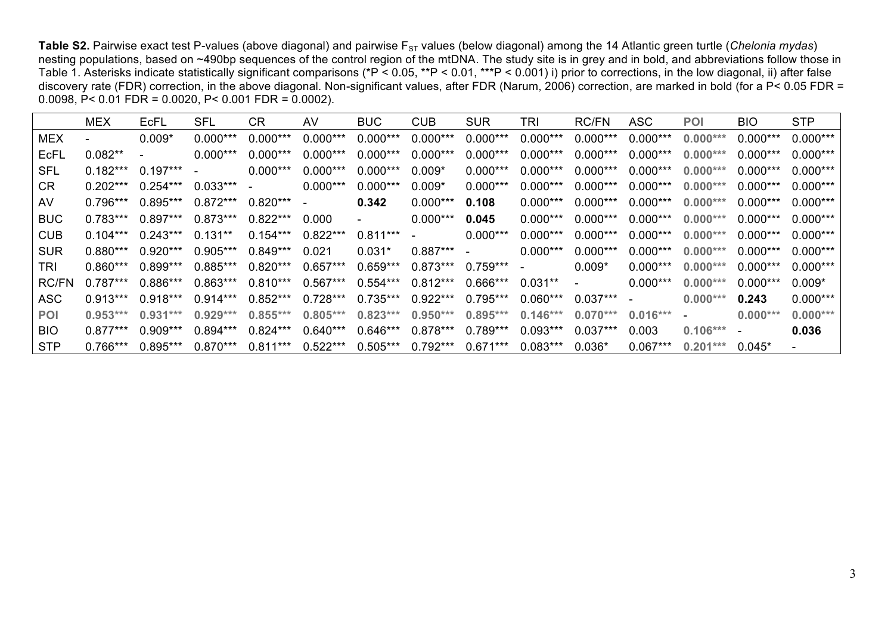Table S2. Pairwise exact test P-values (above diagonal) and pairwise F<sub>ST</sub> values (below diagonal) among the 14 Atlantic green turtle (*Chelonia mydas*) nesting populations, based on ~490bp sequences of the control region of the mtDNA. The study site is in grey and in bold, and abbreviations follow those in Table 1. Asterisks indicate statistically significant comparisons (\*P < 0.05, \*\*P < 0.01, \*\*\*P < 0.001) i) prior to corrections, in the low diagonal, ii) after false discovery rate (FDR) correction, in the above diagonal. Non-significant values, after FDR (Narum, 2006) correction, are marked in bold (for a P< 0.05 FDR = 0.0098, P< 0.01 FDR = 0.0020, P< 0.001 FDR = 0.0002).

|              | <b>MEX</b>               | EcFL       | SFL        | <b>CR</b>  | AV         | <b>BUC</b>               | <b>CUB</b> | <b>SUR</b> | TRI        | RC/FN                    | <b>ASC</b> | <b>POI</b>               | <b>BIO</b>               | <b>STP</b> |
|--------------|--------------------------|------------|------------|------------|------------|--------------------------|------------|------------|------------|--------------------------|------------|--------------------------|--------------------------|------------|
| <b>MEX</b>   | $\overline{\phantom{a}}$ | $0.009*$   | $0.000***$ | $0.000***$ | $0.000***$ | $0.000***$               | $0.000***$ | $0.000***$ | $0.000***$ | $0.000***$               | $0.000***$ | $0.000***$               | $0.000***$               | $0.000***$ |
| EcFL         | $0.082**$                |            | $0.000***$ | $0.000***$ | $0.000***$ | $0.000***$               | $0.000***$ | $0.000***$ | $0.000***$ | $0.000***$               | $0.000***$ | $0.000***$               | $0.000***$               | $0.000***$ |
| <b>SFL</b>   | $0.182***$               | $0.197***$ | $\sim$     | $0.000***$ | $0.000***$ | $0.000***$               | $0.009*$   | $0.000***$ | $0.000***$ | $0.000***$               | $0.000***$ | $0.000***$               | $0.000***$               | $0.000***$ |
| CR           | $0.202***$               | $0.254***$ | $0.033***$ | $\sim$     | $0.000***$ | $0.000***$               | $0.009*$   | $0.000***$ | $0.000***$ | $0.000***$               | $0.000***$ | $0.000***$               | $0.000***$               | $0.000***$ |
| AV           | $0.796***$               | $0.895***$ | $0.872***$ | $0.820***$ | $\sim$     | 0.342                    | $0.000***$ | 0.108      | $0.000***$ | $0.000***$               | $0.000***$ | $0.000***$               | $0.000***$               | $0.000***$ |
| <b>BUC</b>   | $0.783***$               | $0.897***$ | $0.873***$ | $0.822***$ | 0.000      | $\overline{\phantom{0}}$ | $0.000***$ | 0.045      | $0.000***$ | $0.000***$               | $0.000***$ | $0.000***$               | $0.000***$               | $0.000***$ |
| <b>CUB</b>   | $0.104***$               | $0.243***$ | $0.131**$  | $0.154***$ | $0.822***$ | $0.811***$               | $\sim$     | $0.000***$ | $0.000***$ | $0.000***$               | $0.000***$ | $0.000***$               | $0.000***$               | $0.000***$ |
| <b>SUR</b>   | $0.880***$               | $0.920***$ | $0.905***$ | $0.849***$ | 0.021      | $0.031*$                 | $0.887***$ | $\sim$     | $0.000***$ | $0.000***$               | $0.000***$ | $0.000***$               | $0.000***$               | $0.000***$ |
| TRI          | $0.860***$               | $0.899***$ | $0.885***$ | $0.820***$ | $0.657***$ | $0.659***$               | $0.873***$ | $0.759***$ | $\sim$     | $0.009*$                 | $0.000***$ | $0.000***$               | $0.000***$               | $0.000***$ |
| <b>RC/FN</b> | $0.787***$               | $0.886***$ | $0.863***$ | $0.810***$ | $0.567***$ | $0.554***$               | $0.812***$ | $0.666***$ | $0.031**$  | $\overline{\phantom{0}}$ | $0.000***$ | $0.000***$               | $0.000***$               | $0.009*$   |
| <b>ASC</b>   | $0.913***$               | $0.918***$ | $0.914***$ | $0.852***$ | $0.728***$ | $0.735***$               | $0.922***$ | $0.795***$ | $0.060***$ | $0.037***$               | $\sim$     | $0.000***$               | 0.243                    | $0.000***$ |
| <b>POI</b>   | $0.953***$               | $0.931***$ | $0.929***$ | $0.855***$ | $0.805***$ | $0.823***$               | $0.950***$ | $0.895***$ | $0.146***$ | $0.070***$               | $0.016***$ | $\overline{\phantom{a}}$ | $0.000***$               | $0.000***$ |
| <b>BIO</b>   | $0.877***$               | $0.909***$ | $0.894***$ | $0.824***$ | $0.640***$ | $0.646***$               | $0.878***$ | $0.789***$ | $0.093***$ | $0.037***$               | 0.003      | $0.106***$               | $\overline{\phantom{a}}$ | 0.036      |
| <b>STP</b>   | $0.766***$               | $0.895***$ | $0.870***$ | $0.811***$ | $0.522***$ | $0.505***$               | $0.792***$ | $0.671***$ | $0.083***$ | $0.036*$                 | $0.067***$ | $0.201***$               | $0.045*$                 |            |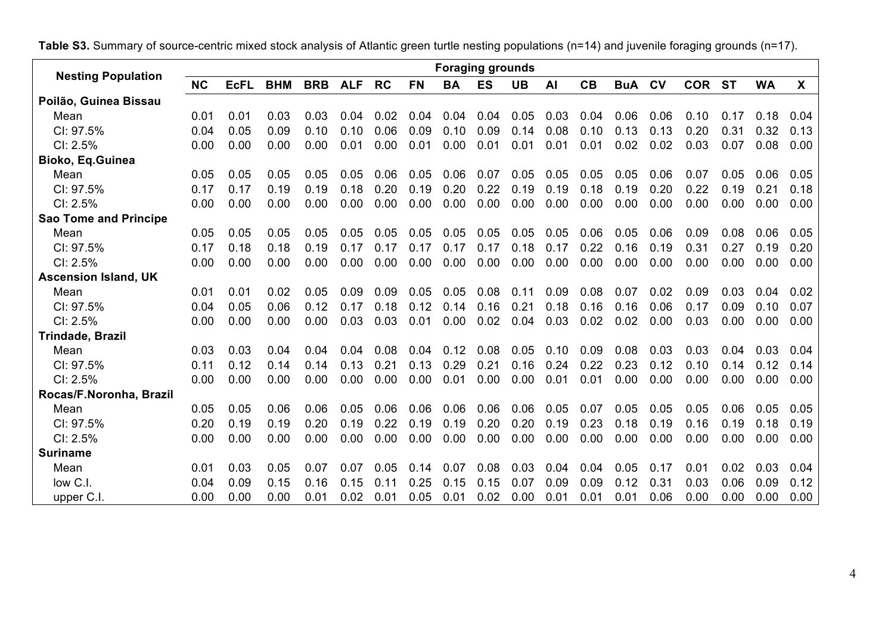|                              |           |             |            |            |            |           |           | <b>Foraging grounds</b> |           |           |      |      |            |         |            |           |           |      |
|------------------------------|-----------|-------------|------------|------------|------------|-----------|-----------|-------------------------|-----------|-----------|------|------|------------|---------|------------|-----------|-----------|------|
| <b>Nesting Population</b>    | <b>NC</b> | <b>EcFL</b> | <b>BHM</b> | <b>BRB</b> | <b>ALF</b> | <b>RC</b> | <b>FN</b> | <b>BA</b>               | <b>ES</b> | <b>UB</b> | AI   | CB   | <b>BuA</b> | $c_{V}$ | <b>COR</b> | <b>ST</b> | <b>WA</b> | X    |
| Poilão, Guinea Bissau        |           |             |            |            |            |           |           |                         |           |           |      |      |            |         |            |           |           |      |
| Mean                         | 0.01      | 0.01        | 0.03       | 0.03       | 0.04       | 0.02      | 0.04      | 0.04                    | 0.04      | 0.05      | 0.03 | 0.04 | 0.06       | 0.06    | 0.10       | 0.17      | 0.18      | 0.04 |
| CI: 97.5%                    | 0.04      | 0.05        | 0.09       | 0.10       | 0.10       | 0.06      | 0.09      | 0.10                    | 0.09      | 0.14      | 0.08 | 0.10 | 0.13       | 0.13    | 0.20       | 0.31      | 0.32      | 0.13 |
| CI: 2.5%                     | 0.00      | 0.00        | 0.00       | 0.00       | 0.01       | 0.00      | 0.01      | 0.00                    | 0.01      | 0.01      | 0.01 | 0.01 | 0.02       | 0.02    | 0.03       | 0.07      | 0.08      | 0.00 |
| Bioko, Eq. Guinea            |           |             |            |            |            |           |           |                         |           |           |      |      |            |         |            |           |           |      |
| Mean                         | 0.05      | 0.05        | 0.05       | 0.05       | 0.05       | 0.06      | 0.05      | 0.06                    | 0.07      | 0.05      | 0.05 | 0.05 | 0.05       | 0.06    | 0.07       | 0.05      | 0.06      | 0.05 |
| CI: 97.5%                    | 0.17      | 0.17        | 0.19       | 0.19       | 0.18       | 0.20      | 0.19      | 0.20                    | 0.22      | 0.19      | 0.19 | 0.18 | 0.19       | 0.20    | 0.22       | 0.19      | 0.21      | 0.18 |
| CI: 2.5%                     | 0.00      | 0.00        | 0.00       | 0.00       | 0.00       | 0.00      | 0.00      | 0.00                    | 0.00      | 0.00      | 0.00 | 0.00 | 0.00       | 0.00    | 0.00       | 0.00      | 0.00      | 0.00 |
| <b>Sao Tome and Principe</b> |           |             |            |            |            |           |           |                         |           |           |      |      |            |         |            |           |           |      |
| Mean                         | 0.05      | 0.05        | 0.05       | 0.05       | 0.05       | 0.05      | 0.05      | 0.05                    | 0.05      | 0.05      | 0.05 | 0.06 | 0.05       | 0.06    | 0.09       | 0.08      | 0.06      | 0.05 |
| CI: 97.5%                    | 0.17      | 0.18        | 0.18       | 0.19       | 0.17       | 0.17      | 0.17      | 0.17                    | 0.17      | 0.18      | 0.17 | 0.22 | 0.16       | 0.19    | 0.31       | 0.27      | 0.19      | 0.20 |
| Cl: 2.5%                     | 0.00      | 0.00        | 0.00       | 0.00       | 0.00       | 0.00      | 0.00      | 0.00                    | 0.00      | 0.00      | 0.00 | 0.00 | 0.00       | 0.00    | 0.00       | 0.00      | 0.00      | 0.00 |
| <b>Ascension Island, UK</b>  |           |             |            |            |            |           |           |                         |           |           |      |      |            |         |            |           |           |      |
| Mean                         | 0.01      | 0.01        | 0.02       | 0.05       | 0.09       | 0.09      | 0.05      | 0.05                    | 0.08      | 0.11      | 0.09 | 0.08 | 0.07       | 0.02    | 0.09       | 0.03      | 0.04      | 0.02 |
| CI: 97.5%                    | 0.04      | 0.05        | 0.06       | 0.12       | 0.17       | 0.18      | 0.12      | 0.14                    | 0.16      | 0.21      | 0.18 | 0.16 | 0.16       | 0.06    | 0.17       | 0.09      | 0.10      | 0.07 |
| CI: 2.5%                     | 0.00      | 0.00        | 0.00       | 0.00       | 0.03       | 0.03      | 0.01      | 0.00                    | 0.02      | 0.04      | 0.03 | 0.02 | 0.02       | 0.00    | 0.03       | 0.00      | 0.00      | 0.00 |
| <b>Trindade, Brazil</b>      |           |             |            |            |            |           |           |                         |           |           |      |      |            |         |            |           |           |      |
| Mean                         | 0.03      | 0.03        | 0.04       | 0.04       | 0.04       | 0.08      | 0.04      | 0.12                    | 0.08      | 0.05      | 0.10 | 0.09 | 0.08       | 0.03    | 0.03       | 0.04      | 0.03      | 0.04 |
| CI: 97.5%                    | 0.11      | 0.12        | 0.14       | 0.14       | 0.13       | 0.21      | 0.13      | 0.29                    | 0.21      | 0.16      | 0.24 | 0.22 | 0.23       | 0.12    | 0.10       | 0.14      | 0.12      | 0.14 |
| CI: 2.5%                     | 0.00      | 0.00        | 0.00       | 0.00       | 0.00       | 0.00      | 0.00      | 0.01                    | 0.00      | 0.00      | 0.01 | 0.01 | 0.00       | 0.00    | 0.00       | 0.00      | 0.00      | 0.00 |
| Rocas/F.Noronha, Brazil      |           |             |            |            |            |           |           |                         |           |           |      |      |            |         |            |           |           |      |
| Mean                         | 0.05      | 0.05        | 0.06       | 0.06       | 0.05       | 0.06      | 0.06      | 0.06                    | 0.06      | 0.06      | 0.05 | 0.07 | 0.05       | 0.05    | 0.05       | 0.06      | 0.05      | 0.05 |
| CI: 97.5%                    | 0.20      | 0.19        | 0.19       | 0.20       | 0.19       | 0.22      | 0.19      | 0.19                    | 0.20      | 0.20      | 0.19 | 0.23 | 0.18       | 0.19    | 0.16       | 0.19      | 0.18      | 0.19 |
| CI: 2.5%                     | 0.00      | 0.00        | 0.00       | 0.00       | 0.00       | 0.00      | 0.00      | 0.00                    | 0.00      | 0.00      | 0.00 | 0.00 | 0.00       | 0.00    | 0.00       | 0.00      | 0.00      | 0.00 |
| <b>Suriname</b>              |           |             |            |            |            |           |           |                         |           |           |      |      |            |         |            |           |           |      |
| Mean                         | 0.01      | 0.03        | 0.05       | 0.07       | 0.07       | 0.05      | 0.14      | 0.07                    | 0.08      | 0.03      | 0.04 | 0.04 | 0.05       | 0.17    | 0.01       | 0.02      | 0.03      | 0.04 |
| low C.I.                     | 0.04      | 0.09        | 0.15       | 0.16       | 0.15       | 0.11      | 0.25      | 0.15                    | 0.15      | 0.07      | 0.09 | 0.09 | 0.12       | 0.31    | 0.03       | 0.06      | 0.09      | 0.12 |
| upper C.I.                   | 0.00      | 0.00        | 0.00       | 0.01       | 0.02       | 0.01      | 0.05      | 0.01                    | 0.02      | 0.00      | 0.01 | 0.01 | 0.01       | 0.06    | 0.00       | 0.00      | 0.00      | 0.00 |

**Table S3.** Summary of source-centric mixed stock analysis of Atlantic green turtle nesting populations (n=14) and juvenile foraging grounds (n=17).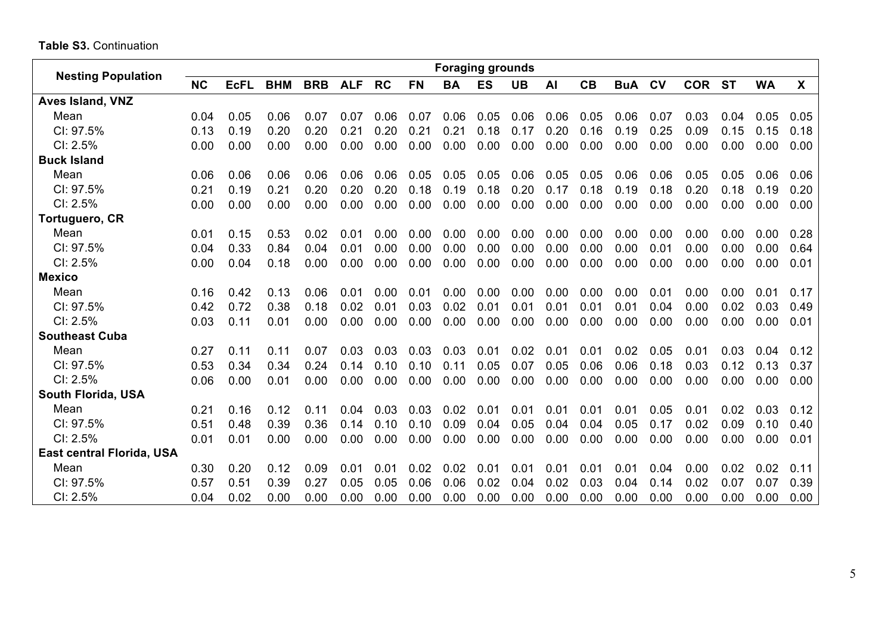## **Table S3.** Continuation

| <b>Nesting Population</b> |           |             |            |            |            |           |           | <b>Foraging grounds</b> |           |           |      |      |            |                |            |           |           |      |
|---------------------------|-----------|-------------|------------|------------|------------|-----------|-----------|-------------------------|-----------|-----------|------|------|------------|----------------|------------|-----------|-----------|------|
|                           | <b>NC</b> | <b>EcFL</b> | <b>BHM</b> | <b>BRB</b> | <b>ALF</b> | <b>RC</b> | <b>FN</b> | <b>BA</b>               | <b>ES</b> | <b>UB</b> | AI   | CB   | <b>BuA</b> | c <sub>V</sub> | <b>COR</b> | <b>ST</b> | <b>WA</b> | X    |
| <b>Aves Island, VNZ</b>   |           |             |            |            |            |           |           |                         |           |           |      |      |            |                |            |           |           |      |
| Mean                      | 0.04      | 0.05        | 0.06       | 0.07       | 0.07       | 0.06      | 0.07      | 0.06                    | 0.05      | 0.06      | 0.06 | 0.05 | 0.06       | 0.07           | 0.03       | 0.04      | 0.05      | 0.05 |
| CI: 97.5%                 | 0.13      | 0.19        | 0.20       | 0.20       | 0.21       | 0.20      | 0.21      | 0.21                    | 0.18      | 0.17      | 0.20 | 0.16 | 0.19       | 0.25           | 0.09       | 0.15      | 0.15      | 0.18 |
| CI: 2.5%                  | 0.00      | 0.00        | 0.00       | 0.00       | 0.00       | 0.00      | 0.00      | 0.00                    | 0.00      | 0.00      | 0.00 | 0.00 | 0.00       | 0.00           | 0.00       | 0.00      | 0.00      | 0.00 |
| <b>Buck Island</b>        |           |             |            |            |            |           |           |                         |           |           |      |      |            |                |            |           |           |      |
| Mean                      | 0.06      | 0.06        | 0.06       | 0.06       | 0.06       | 0.06      | 0.05      | 0.05                    | 0.05      | 0.06      | 0.05 | 0.05 | 0.06       | 0.06           | 0.05       | 0.05      | 0.06      | 0.06 |
| CI: 97.5%                 | 0.21      | 0.19        | 0.21       | 0.20       | 0.20       | 0.20      | 0.18      | 0.19                    | 0.18      | 0.20      | 0.17 | 0.18 | 0.19       | 0.18           | 0.20       | 0.18      | 0.19      | 0.20 |
| CI: 2.5%                  | 0.00      | 0.00        | 0.00       | 0.00       | 0.00       | 0.00      | 0.00      | 0.00                    | 0.00      | 0.00      | 0.00 | 0.00 | 0.00       | 0.00           | 0.00       | 0.00      | 0.00      | 0.00 |
| Tortuguero, CR            |           |             |            |            |            |           |           |                         |           |           |      |      |            |                |            |           |           |      |
| Mean                      | 0.01      | 0.15        | 0.53       | 0.02       | 0.01       | 0.00      | 0.00      | 0.00                    | 0.00      | 0.00      | 0.00 | 0.00 | 0.00       | 0.00           | 0.00       | 0.00      | 0.00      | 0.28 |
| CI: 97.5%                 | 0.04      | 0.33        | 0.84       | 0.04       | 0.01       | 0.00      | 0.00      | 0.00                    | 0.00      | 0.00      | 0.00 | 0.00 | 0.00       | 0.01           | 0.00       | 0.00      | 0.00      | 0.64 |
| CI: 2.5%                  | 0.00      | 0.04        | 0.18       | 0.00       | 0.00       | 0.00      | 0.00      | 0.00                    | 0.00      | 0.00      | 0.00 | 0.00 | 0.00       | 0.00           | 0.00       | 0.00      | 0.00      | 0.01 |
| <b>Mexico</b>             |           |             |            |            |            |           |           |                         |           |           |      |      |            |                |            |           |           |      |
| Mean                      | 0.16      | 0.42        | 0.13       | 0.06       | 0.01       | 0.00      | 0.01      | 0.00                    | 0.00      | 0.00      | 0.00 | 0.00 | 0.00       | 0.01           | 0.00       | 0.00      | 0.01      | 0.17 |
| CI: 97.5%                 | 0.42      | 0.72        | 0.38       | 0.18       | 0.02       | 0.01      | 0.03      | 0.02                    | 0.01      | 0.01      | 0.01 | 0.01 | 0.01       | 0.04           | 0.00       | 0.02      | 0.03      | 0.49 |
| $Cl: 2.5\%$               | 0.03      | 0.11        | 0.01       | 0.00       | 0.00       | 0.00      | 0.00      | 0.00                    | 0.00      | 0.00      | 0.00 | 0.00 | 0.00       | 0.00           | 0.00       | 0.00      | 0.00      | 0.01 |
| <b>Southeast Cuba</b>     |           |             |            |            |            |           |           |                         |           |           |      |      |            |                |            |           |           |      |
| Mean                      | 0.27      | 0.11        | 0.11       | 0.07       | 0.03       | 0.03      | 0.03      | 0.03                    | 0.01      | 0.02      | 0.01 | 0.01 | 0.02       | 0.05           | 0.01       | 0.03      | 0.04      | 0.12 |
| CI: 97.5%                 | 0.53      | 0.34        | 0.34       | 0.24       | 0.14       | 0.10      | 0.10      | 0.11                    | 0.05      | 0.07      | 0.05 | 0.06 | 0.06       | 0.18           | 0.03       | 0.12      | 0.13      | 0.37 |
| $Cl: 2.5\%$               | 0.06      | 0.00        | 0.01       | 0.00       | 0.00       | 0.00      | 0.00      | 0.00                    | 0.00      | 0.00      | 0.00 | 0.00 | 0.00       | 0.00           | 0.00       | 0.00      | 0.00      | 0.00 |
| South Florida, USA        |           |             |            |            |            |           |           |                         |           |           |      |      |            |                |            |           |           |      |
| Mean                      | 0.21      | 0.16        | 0.12       | 0.11       | 0.04       | 0.03      | 0.03      | 0.02                    | 0.01      | 0.01      | 0.01 | 0.01 | 0.01       | 0.05           | 0.01       | 0.02      | 0.03      | 0.12 |
| CI: 97.5%                 | 0.51      | 0.48        | 0.39       | 0.36       | 0.14       | 0.10      | 0.10      | 0.09                    | 0.04      | 0.05      | 0.04 | 0.04 | 0.05       | 0.17           | 0.02       | 0.09      | 0.10      | 0.40 |
| CI: 2.5%                  | 0.01      | 0.01        | 0.00       | 0.00       | 0.00       | 0.00      | 0.00      | 0.00                    | 0.00      | 0.00      | 0.00 | 0.00 | 0.00       | 0.00           | 0.00       | 0.00      | 0.00      | 0.01 |
| East central Florida, USA |           |             |            |            |            |           |           |                         |           |           |      |      |            |                |            |           |           |      |
| Mean                      | 0.30      | 0.20        | 0.12       | 0.09       | 0.01       | 0.01      | 0.02      | 0.02                    | 0.01      | 0.01      | 0.01 | 0.01 | 0.01       | 0.04           | 0.00       | 0.02      | 0.02      | 0.11 |
| CI: 97.5%                 | 0.57      | 0.51        | 0.39       | 0.27       | 0.05       | 0.05      | 0.06      | 0.06                    | 0.02      | 0.04      | 0.02 | 0.03 | 0.04       | 0.14           | 0.02       | 0.07      | 0.07      | 0.39 |
| CI: 2.5%                  | 0.04      | 0.02        | 0.00       | 0.00       | 0.00       | 0.00      | 0.00      | 0.00                    | 0.00      | 0.00      | 0.00 | 0.00 | 0.00       | 0.00           | 0.00       | 0.00      | 0.00      | 0.00 |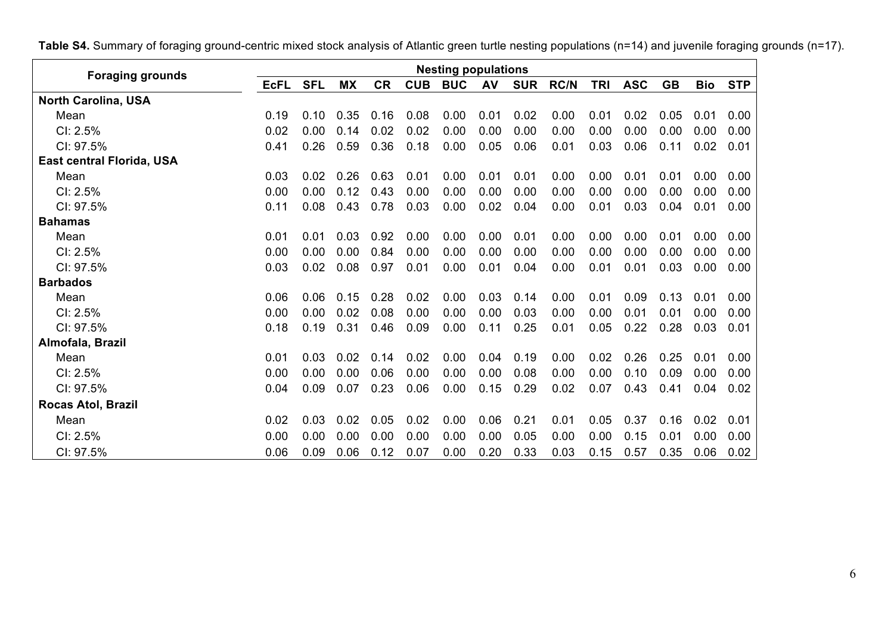**Foraging grounds Nesting populations**<br>**Nesting populations**<br>**Nesting populations**<br>**NetIL SFL MX CR CUB BUC AV SU EcFL SFL MX CR CUB BUC AV SUR RC/N TRI ASC GB Bio STP North Carolina, USA** Mean 0.19 0.10 0.35 0.16 0.08 0.00 0.01 0.02 0.00 0.01 0.02 0.05 0.01 0.00 CI: 2.5% 0.02 0.00 0.14 0.02 0.02 0.00 0.00 0.00 0.00 0.00 0.00 0.00 0.00 0.00 CI: 97.5% 0.41 0.26 0.59 0.36 0.18 0.00 0.05 0.06 0.01 0.03 0.06 0.11 0.02 0.01 **East central Florida, USA** Mean 0.03 0.02 0.26 0.63 0.01 0.00 0.01 0.01 0.00 0.00 0.01 0.01 0.00 0.00 CI: 2.5% 0.00 0.00 0.12 0.43 0.00 0.00 0.00 0.00 0.00 0.00 0.00 0.00 0.00 0.00 CI: 97.5% 0.11 0.08 0.43 0.78 0.03 0.00 0.02 0.04 0.00 0.01 0.03 0.04 0.01 0.00 **Bahamas** Mean 0.01 0.01 0.03 0.92 0.00 0.00 0.00 0.01 0.00 0.00 0.00 0.01 0.00 0.00 CI: 2.5% 0.00 0.00 0.00 0.84 0.00 0.00 0.00 0.00 0.00 0.00 0.00 0.00 0.00 0.00 CI: 97.5% 0.03 0.02 0.08 0.97 0.01 0.00 0.01 0.04 0.00 0.01 0.01 0.03 0.00 0.00 **Barbados** Mean 0.06 0.06 0.15 0.28 0.02 0.00 0.03 0.14 0.00 0.01 0.09 0.13 0.01 0.00 CI: 2.5% 0.00 0.00 0.02 0.08 0.00 0.00 0.00 0.03 0.00 0.00 0.01 0.01 0.00 0.00 CI: 97.5% 0.18 0.19 0.31 0.46 0.09 0.00 0.11 0.25 0.01 0.05 0.22 0.28 0.03 0.01 **Almofala, Brazil** Mean 0.01 0.03 0.02 0.14 0.02 0.00 0.04 0.19 0.00 0.02 0.26 0.25 0.01 0.00 CI: 2.5% 0.00 0.00 0.00 0.06 0.00 0.00 0.00 0.08 0.00 0.00 0.10 0.09 0.00 0.00 CI: 97.5% 0.04 0.09 0.07 0.23 0.06 0.00 0.15 0.29 0.02 0.07 0.43 0.41 0.04 0.02 **Rocas Atol, Brazil** Mean 0.02 0.03 0.02 0.05 0.02 0.00 0.06 0.21 0.01 0.05 0.37 0.16 0.02 0.01 CI: 2.5% 0.00 0.00 0.00 0.00 0.00 0.00 0.00 0.05 0.00 0.00 0.15 0.01 0.00 0.00 CI: 97.5% 0.06 0.09 0.06 0.12 0.07 0.00 0.20 0.33 0.03 0.15 0.57 0.35 0.06 0.02

**Table S4.** Summary of foraging ground-centric mixed stock analysis of Atlantic green turtle nesting populations (n=14) and juvenile foraging grounds (n=17).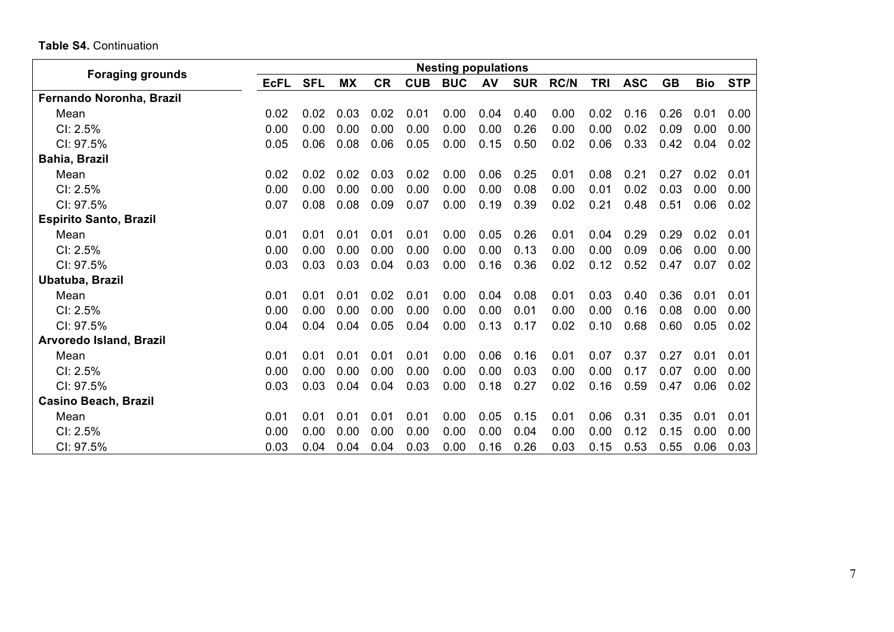| <b>Table S4. Continuation</b> |  |
|-------------------------------|--|
|-------------------------------|--|

|                                | <b>Nesting populations</b> |            |           |           |            |            |      |            |             |            |            |           |            |            |
|--------------------------------|----------------------------|------------|-----------|-----------|------------|------------|------|------------|-------------|------------|------------|-----------|------------|------------|
| <b>Foraging grounds</b>        | <b>EcFL</b>                | <b>SFL</b> | <b>MX</b> | <b>CR</b> | <b>CUB</b> | <b>BUC</b> | AV   | <b>SUR</b> | <b>RC/N</b> | <b>TRI</b> | <b>ASC</b> | <b>GB</b> | <b>Bio</b> | <b>STP</b> |
| Fernando Noronha, Brazil       |                            |            |           |           |            |            |      |            |             |            |            |           |            |            |
| Mean                           | 0.02                       | 0.02       | 0.03      | 0.02      | 0.01       | 0.00       | 0.04 | 0.40       | 0.00        | 0.02       | 0.16       | 0.26      | 0.01       | 0.00       |
| CI: 2.5%                       | 0.00                       | 0.00       | 0.00      | 0.00      | 0.00       | 0.00       | 0.00 | 0.26       | 0.00        | 0.00       | 0.02       | 0.09      | 0.00       | 0.00       |
| CI: 97.5%                      | 0.05                       | 0.06       | 0.08      | 0.06      | 0.05       | 0.00       | 0.15 | 0.50       | 0.02        | 0.06       | 0.33       | 0.42      | 0.04       | 0.02       |
| <b>Bahia, Brazil</b>           |                            |            |           |           |            |            |      |            |             |            |            |           |            |            |
| Mean                           | 0.02                       | 0.02       | 0.02      | 0.03      | 0.02       | 0.00       | 0.06 | 0.25       | 0.01        | 0.08       | 0.21       | 0.27      | 0.02       | 0.01       |
| CI: 2.5%                       | 0.00                       | 0.00       | 0.00      | 0.00      | 0.00       | 0.00       | 0.00 | 0.08       | 0.00        | 0.01       | 0.02       | 0.03      | 0.00       | 0.00       |
| CI: 97.5%                      | 0.07                       | 0.08       | 0.08      | 0.09      | 0.07       | 0.00       | 0.19 | 0.39       | 0.02        | 0.21       | 0.48       | 0.51      | 0.06       | 0.02       |
| <b>Espirito Santo, Brazil</b>  |                            |            |           |           |            |            |      |            |             |            |            |           |            |            |
| Mean                           | 0.01                       | 0.01       | 0.01      | 0.01      | 0.01       | 0.00       | 0.05 | 0.26       | 0.01        | 0.04       | 0.29       | 0.29      | 0.02       | 0.01       |
| $Cl: 2.5\%$                    | 0.00                       | 0.00       | 0.00      | 0.00      | 0.00       | 0.00       | 0.00 | 0.13       | 0.00        | 0.00       | 0.09       | 0.06      | 0.00       | 0.00       |
| CI: 97.5%                      | 0.03                       | 0.03       | 0.03      | 0.04      | 0.03       | 0.00       | 0.16 | 0.36       | 0.02        | 0.12       | 0.52       | 0.47      | 0.07       | 0.02       |
| Ubatuba, Brazil                |                            |            |           |           |            |            |      |            |             |            |            |           |            |            |
| Mean                           | 0.01                       | 0.01       | 0.01      | 0.02      | 0.01       | 0.00       | 0.04 | 0.08       | 0.01        | 0.03       | 0.40       | 0.36      | 0.01       | 0.01       |
| CI: 2.5%                       | 0.00                       | 0.00       | 0.00      | 0.00      | 0.00       | 0.00       | 0.00 | 0.01       | 0.00        | 0.00       | 0.16       | 0.08      | 0.00       | 0.00       |
| CI: 97.5%                      | 0.04                       | 0.04       | 0.04      | 0.05      | 0.04       | 0.00       | 0.13 | 0.17       | 0.02        | 0.10       | 0.68       | 0.60      | 0.05       | 0.02       |
| <b>Arvoredo Island, Brazil</b> |                            |            |           |           |            |            |      |            |             |            |            |           |            |            |
| Mean                           | 0.01                       | 0.01       | 0.01      | 0.01      | 0.01       | 0.00       | 0.06 | 0.16       | 0.01        | 0.07       | 0.37       | 0.27      | 0.01       | 0.01       |
| CI: 2.5%                       | 0.00                       | 0.00       | 0.00      | 0.00      | 0.00       | 0.00       | 0.00 | 0.03       | 0.00        | 0.00       | 0.17       | 0.07      | 0.00       | 0.00       |
| CI: 97.5%                      | 0.03                       | 0.03       | 0.04      | 0.04      | 0.03       | 0.00       | 0.18 | 0.27       | 0.02        | 0.16       | 0.59       | 0.47      | 0.06       | 0.02       |
| <b>Casino Beach, Brazil</b>    |                            |            |           |           |            |            |      |            |             |            |            |           |            |            |
| Mean                           | 0.01                       | 0.01       | 0.01      | 0.01      | 0.01       | 0.00       | 0.05 | 0.15       | 0.01        | 0.06       | 0.31       | 0.35      | 0.01       | 0.01       |
| CI: 2.5%                       | 0.00                       | 0.00       | 0.00      | 0.00      | 0.00       | 0.00       | 0.00 | 0.04       | 0.00        | 0.00       | 0.12       | 0.15      | 0.00       | 0.00       |
| CI: 97.5%                      | 0.03                       | 0.04       | 0.04      | 0.04      | 0.03       | 0.00       | 0.16 | 0.26       | 0.03        | 0.15       | 0.53       | 0.55      | 0.06       | 0.03       |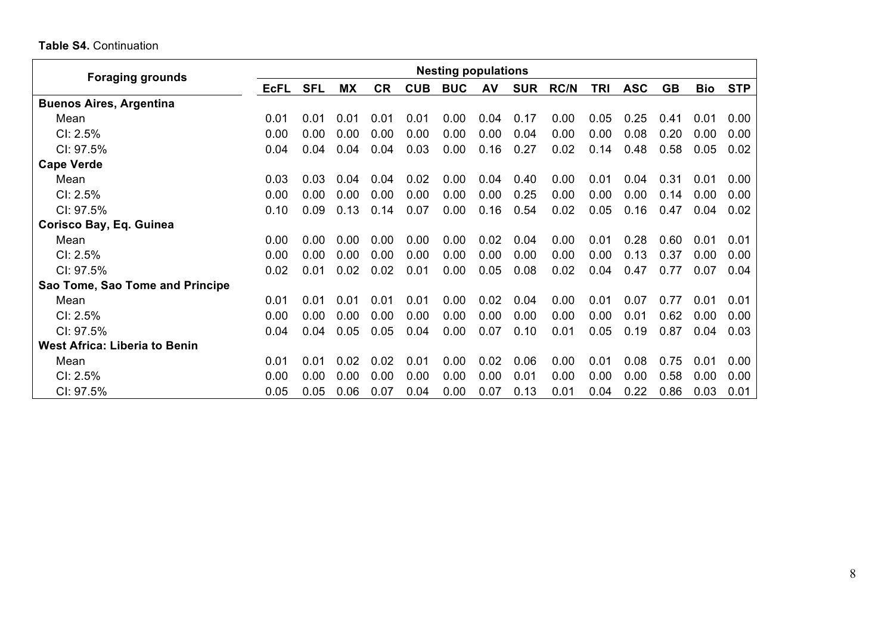## **Table S4.** Continuation

| <b>Foraging grounds</b>              | <b>Nesting populations</b> |            |           |           |            |            |      |            |             |      |            |           |            |            |
|--------------------------------------|----------------------------|------------|-----------|-----------|------------|------------|------|------------|-------------|------|------------|-----------|------------|------------|
|                                      | <b>EcFL</b>                | <b>SFL</b> | <b>MX</b> | <b>CR</b> | <b>CUB</b> | <b>BUC</b> | AV   | <b>SUR</b> | <b>RC/N</b> | TRI  | <b>ASC</b> | <b>GB</b> | <b>Bio</b> | <b>STP</b> |
| <b>Buenos Aires, Argentina</b>       |                            |            |           |           |            |            |      |            |             |      |            |           |            |            |
| Mean                                 | 0.01                       | 0.01       | 0.01      | 0.01      | 0.01       | 0.00       | 0.04 | 0.17       | 0.00        | 0.05 | 0.25       | 0.41      | 0.01       | 0.00       |
| $Cl: 2.5\%$                          | 0.00                       | 0.00       | 0.00      | 0.00      | 0.00       | 0.00       | 0.00 | 0.04       | 0.00        | 0.00 | 0.08       | 0.20      | 0.00       | 0.00       |
| CI: 97.5%                            | 0.04                       | 0.04       | 0.04      | 0.04      | 0.03       | 0.00       | 0.16 | 0.27       | 0.02        | 0.14 | 0.48       | 0.58      | 0.05       | 0.02       |
| <b>Cape Verde</b>                    |                            |            |           |           |            |            |      |            |             |      |            |           |            |            |
| Mean                                 | 0.03                       | 0.03       | 0.04      | 0.04      | 0.02       | 0.00       | 0.04 | 0.40       | 0.00        | 0.01 | 0.04       | 0.31      | 0.01       | 0.00       |
| CI: 2.5%                             | 0.00                       | 0.00       | 0.00      | 0.00      | 0.00       | 0.00       | 0.00 | 0.25       | 0.00        | 0.00 | 0.00       | 0.14      | 0.00       | 0.00       |
| CI: 97.5%                            | 0.10                       | 0.09       | 0.13      | 0.14      | 0.07       | 0.00       | 0.16 | 0.54       | 0.02        | 0.05 | 0.16       | 0.47      | 0.04       | 0.02       |
| Corisco Bay, Eq. Guinea              |                            |            |           |           |            |            |      |            |             |      |            |           |            |            |
| Mean                                 | 0.00                       | 0.00       | 0.00      | 0.00      | 0.00       | 0.00       | 0.02 | 0.04       | 0.00        | 0.01 | 0.28       | 0.60      | 0.01       | 0.01       |
| $Cl: 2.5\%$                          | 0.00                       | 0.00       | 0.00      | 0.00      | 0.00       | 0.00       | 0.00 | 0.00       | 0.00        | 0.00 | 0.13       | 0.37      | 0.00       | 0.00       |
| CI: 97.5%                            | 0.02                       | 0.01       | 0.02      | 0.02      | 0.01       | 0.00       | 0.05 | 0.08       | 0.02        | 0.04 | 0.47       | 0.77      | 0.07       | 0.04       |
| Sao Tome, Sao Tome and Principe      |                            |            |           |           |            |            |      |            |             |      |            |           |            |            |
| Mean                                 | 0.01                       | 0 Q1       | 0.01      | 0.01      | 0.01       | 0.00       | 0.02 | 0.04       | 0.00        | 0.01 | 0.07       | 0.77      | 0 01       | 0.01       |
| $Cl: 2.5\%$                          | 0.00                       | 0.00       | 0.00      | 0.00      | 0.00       | 0.00       | 0.00 | 0.00       | 0.00        | 0.00 | 0.01       | 0.62      | 0.00       | 0.00       |
| CI: 97.5%                            | 0.04                       | 0.04       | 0.05      | 0.05      | 0.04       | 0.00       | 0.07 | 0.10       | 0.01        | 0.05 | 0.19       | 0.87      | 0.04       | 0.03       |
| <b>West Africa: Liberia to Benin</b> |                            |            |           |           |            |            |      |            |             |      |            |           |            |            |
| Mean                                 | 0.01                       | 0.01       | 0.02      | 0.02      | 0.01       | 0.00       | 0.02 | 0.06       | 0.00        | 0.01 | 0.08       | 0.75      | 0.01       | 0.00       |
| CI: 2.5%                             | 0.00                       | 0.00       | 0.00      | 0.00      | 0.00       | 0.00       | 0.00 | 0.01       | 0.00        | 0.00 | 0.00       | 0.58      | 0.00       | 0.00       |
| CI: 97.5%                            | 0.05                       | 0.05       | 0.06      | 0.07      | 0.04       | 0.00       | 0.07 | 0.13       | 0.01        | 0.04 | 0.22       | 0.86      | 0.03       | 0.01       |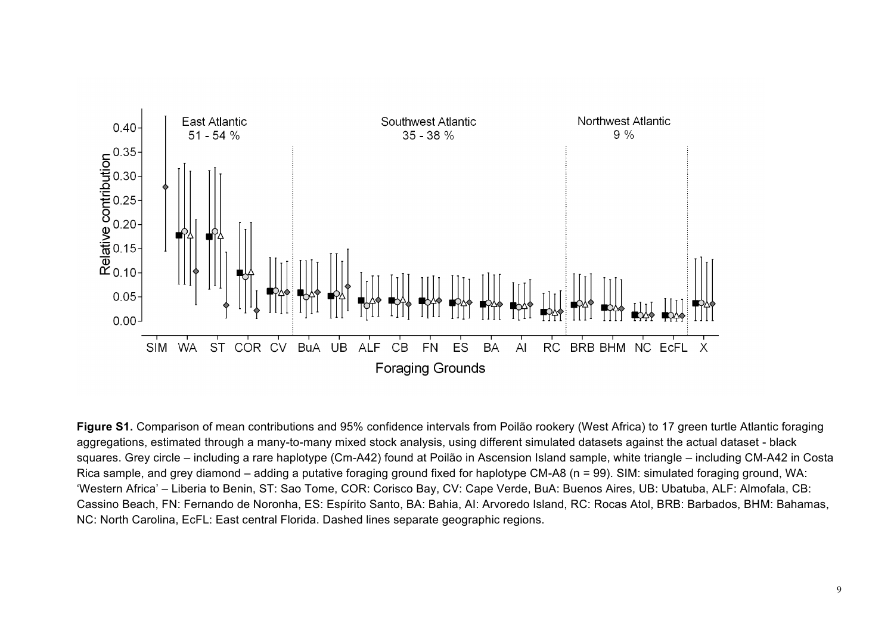

**Figure S1.** Comparison of mean contributions and 95% confidence intervals from Poilão rookery (West Africa) to 17 green turtle Atlantic foraging aggregations, estimated through a many-to-many mixed stock analysis, using different simulated datasets against the actual dataset - black squares. Grey circle – including a rare haplotype (Cm-A42) found at Poilão in Ascension Island sample, white triangle – including CM-A42 in Costa Rica sample, and grey diamond – adding a putative foraging ground fixed for haplotype CM-A8 (n = 99). SIM: simulated foraging ground, WA: 'Western Africa' – Liberia to Benin, ST: Sao Tome, COR: Corisco Bay, CV: Cape Verde, BuA: Buenos Aires, UB: Ubatuba, ALF: Almofala, CB: Cassino Beach, FN: Fernando de Noronha, ES: Espírito Santo, BA: Bahia, AI: Arvoredo Island, RC: Rocas Atol, BRB: Barbados, BHM: Bahamas, NC: North Carolina, EcFL: East central Florida. Dashed lines separate geographic regions.